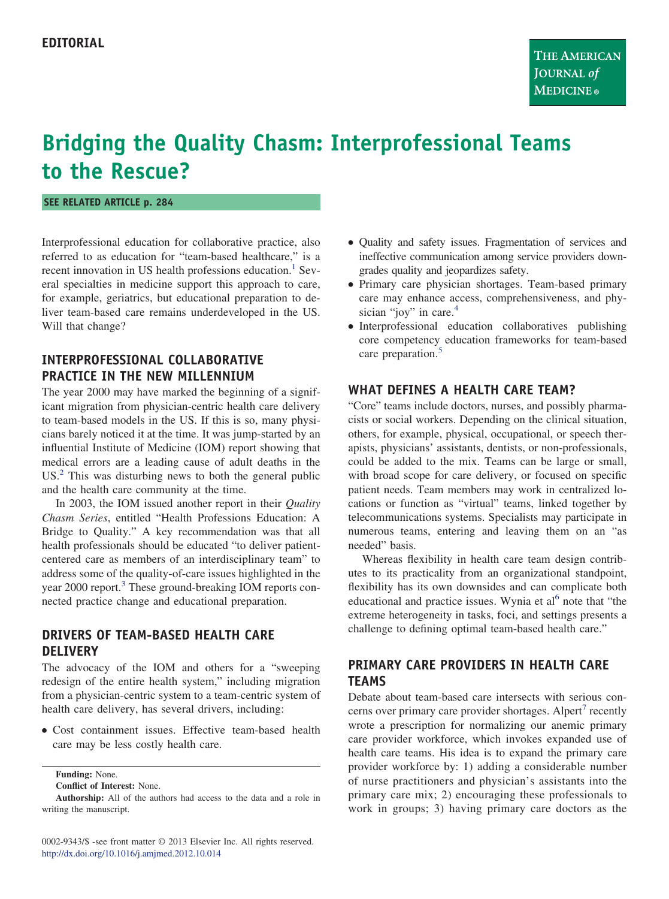# **Bridging the Quality Chasm: Interprofessional Teams to the Rescue?**

**SEE RELATED ARTICLE p. 284**

Interprofessional education for collaborative practice, also referred to as education for "team-based healthcare," is a recent innovation in US health professions education.<sup>1</sup> Several specialties in medicine support this approach to care, for example, geriatrics, but educational preparation to deliver team-based care remains underdeveloped in the US. Will that change?

## **INTERPROFESSIONAL COLLABORATIVE PRACTICE IN THE NEW MILLENNIUM**

The year 2000 may have marked the beginning of a significant migration from physician-centric health care delivery to team-based models in the US. If this is so, many physicians barely noticed it at the time. It was jump-started by an influential Institute of Medicine (IOM) report showing that medical errors are a leading cause of adult deaths in the  $US<sup>2</sup>$  $US<sup>2</sup>$  $US<sup>2</sup>$ . This was disturbing news to both the general public and the health care community at the time.

In 2003, the IOM issued another report in their *Quality Chasm Series*, entitled "Health Professions Education: A Bridge to Quality." A key recommendation was that all health professionals should be educated "to deliver patientcentered care as members of an interdisciplinary team" to address some of the quality-of-care issues highlighted in the year 2000 report.<sup>[3](#page-1-2)</sup> These ground-breaking IOM reports connected practice change and educational preparation.

### **DRIVERS OF TEAM-BASED HEALTH CARE DELIVERY**

The advocacy of the IOM and others for a "sweeping redesign of the entire health system," including migration from a physician-centric system to a team-centric system of health care delivery, has several drivers, including:

● Cost containment issues. Effective team-based health care may be less costly health care.

**Conflict of Interest:** None.

0002-9343/\$ -see front matter © 2013 Elsevier Inc. All rights reserved. <http://dx.doi.org/10.1016/j.amjmed.2012.10.014>

- Quality and safety issues. Fragmentation of services and ineffective communication among service providers downgrades quality and jeopardizes safety.
- Primary care physician shortages. Team-based primary care may enhance access, comprehensiveness, and phy-sician "joy" in care.<sup>[4](#page-1-3)</sup>
- Interprofessional education collaboratives publishing core competency education frameworks for team-based care preparation.<sup>[5](#page-1-4)</sup>

#### **WHAT DEFINES A HEALTH CARE TEAM?**

"Core" teams include doctors, nurses, and possibly pharmacists or social workers. Depending on the clinical situation, others, for example, physical, occupational, or speech therapists, physicians' assistants, dentists, or non-professionals, could be added to the mix. Teams can be large or small, with broad scope for care delivery, or focused on specific patient needs. Team members may work in centralized locations or function as "virtual" teams, linked together by telecommunications systems. Specialists may participate in numerous teams, entering and leaving them on an "as needed" basis.

Whereas flexibility in health care team design contributes to its practicality from an organizational standpoint, flexibility has its own downsides and can complicate both educational and practice issues. Wynia et al<sup>[6](#page-1-5)</sup> note that "the extreme heterogeneity in tasks, foci, and settings presents a challenge to defining optimal team-based health care."

# **PRIMARY CARE PROVIDERS IN HEALTH CARE TEAMS**

Debate about team-based care intersects with serious con-cerns over primary care provider shortages. Alpert<sup>[7](#page-1-6)</sup> recently wrote a prescription for normalizing our anemic primary care provider workforce, which invokes expanded use of health care teams. His idea is to expand the primary care provider workforce by: 1) adding a considerable number of nurse practitioners and physician's assistants into the primary care mix; 2) encouraging these professionals to work in groups; 3) having primary care doctors as the

**Funding:** None.

**Authorship:** All of the authors had access to the data and a role in writing the manuscript.